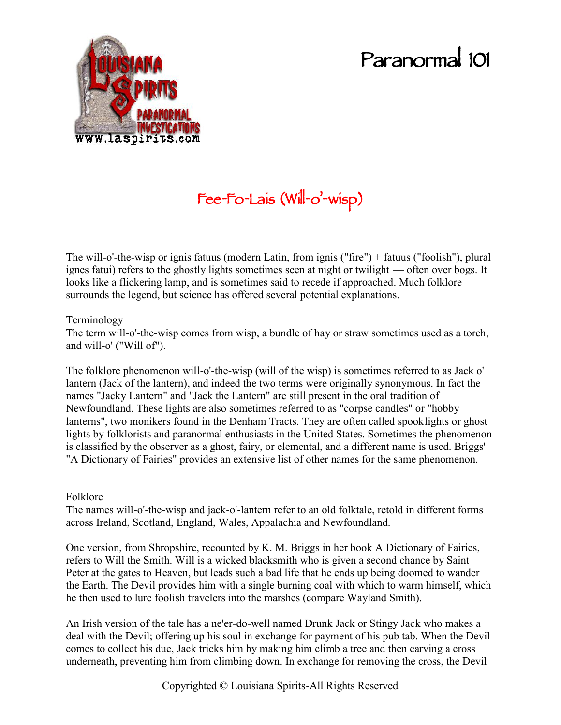# **Paranormal 101**



# **Fee-Fo-Lais (Will-o'-wisp)**

The will-o'-the-wisp or ignis fatuus (modern Latin, from ignis ("fire") + fatuus ("foolish"), plural ignes fatui) refers to the ghostly lights sometimes seen at night or twilight — often over bogs. It looks like a flickering lamp, and is sometimes said to recede if approached. Much folklore surrounds the legend, but science has offered several potential explanations.

#### Terminology

The term will-o'-the-wisp comes from wisp, a bundle of hay or straw sometimes used as a torch, and will-o' ("Will of").

The folklore phenomenon will-o'-the-wisp (will of the wisp) is sometimes referred to as Jack o' lantern (Jack of the lantern), and indeed the two terms were originally synonymous. In fact the names "Jacky Lantern" and "Jack the Lantern" are still present in the oral tradition of Newfoundland. These lights are also sometimes referred to as "corpse candles" or "hobby lanterns", two monikers found in the Denham Tracts. They are often called spooklights or ghost lights by folklorists and paranormal enthusiasts in the United States. Sometimes the phenomenon is classified by the observer as a ghost, fairy, or elemental, and a different name is used. Briggs' "A Dictionary of Fairies" provides an extensive list of other names for the same phenomenon.

### Folklore

The names will-o'-the-wisp and jack-o'-lantern refer to an old folktale, retold in different forms across Ireland, Scotland, England, Wales, Appalachia and Newfoundland.

One version, from Shropshire, recounted by K. M. Briggs in her book A Dictionary of Fairies, refers to Will the Smith. Will is a wicked blacksmith who is given a second chance by Saint Peter at the gates to Heaven, but leads such a bad life that he ends up being doomed to wander the Earth. The Devil provides him with a single burning coal with which to warm himself, which he then used to lure foolish travelers into the marshes (compare Wayland Smith).

An Irish version of the tale has a ne'er-do-well named Drunk Jack or Stingy Jack who makes a deal with the Devil; offering up his soul in exchange for payment of his pub tab. When the Devil comes to collect his due, Jack tricks him by making him climb a tree and then carving a cross underneath, preventing him from climbing down. In exchange for removing the cross, the Devil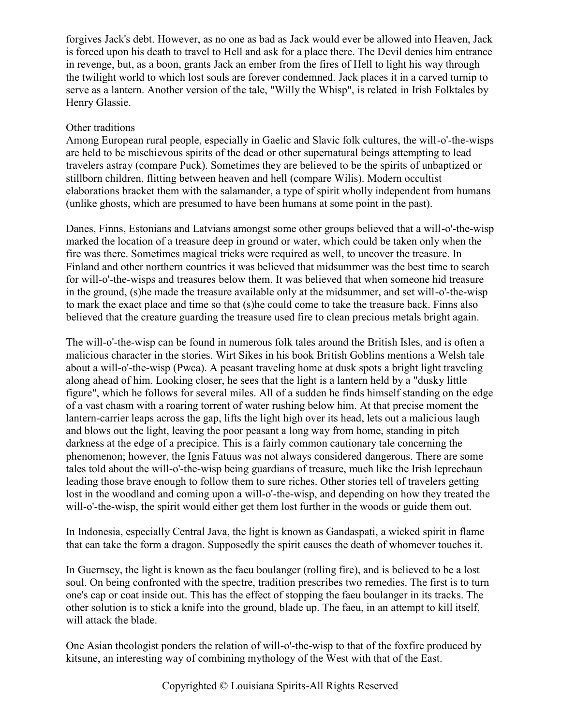forgives Jack's debt. However, as no one as bad as Jack would ever be allowed into Heaven, Jack is forced upon his death to travel to Hell and ask for a place there. The Devil denies him entrance in revenge, but, as a boon, grants Jack an ember from the fires of Hell to light his way through the twilight world to which lost souls are forever condemned. Jack places it in a carved turnip to serve as a lantern. Another version of the tale, "Willy the Whisp", is related in Irish Folktales by Henry Glassie.

## Other traditions

Among European rural people, especially in Gaelic and Slavic folk cultures, the will-o'-the-wisps are held to be mischievous spirits of the dead or other supernatural beings attempting to lead travelers astray (compare Puck). Sometimes they are believed to be the spirits of unbaptized or stillborn children, flitting between heaven and hell (compare Wilis). Modern occultist elaborations bracket them with the salamander, a type of spirit wholly independent from humans (unlike ghosts, which are presumed to have been humans at some point in the past).

Danes, Finns, Estonians and Latvians amongst some other groups believed that a will-o'-the-wisp marked the location of a treasure deep in ground or water, which could be taken only when the fire was there. Sometimes magical tricks were required as well, to uncover the treasure. In Finland and other northern countries it was believed that midsummer was the best time to search for will-o'-the-wisps and treasures below them. It was believed that when someone hid treasure in the ground, (s)he made the treasure available only at the midsummer, and set will-o'-the-wisp to mark the exact place and time so that (s)he could come to take the treasure back. Finns also believed that the creature guarding the treasure used fire to clean precious metals bright again.

The will-o'-the-wisp can be found in numerous folk tales around the British Isles, and is often a malicious character in the stories. Wirt Sikes in his book British Goblins mentions a Welsh tale about a will-o'-the-wisp (Pwca). A peasant traveling home at dusk spots a bright light traveling along ahead of him. Looking closer, he sees that the light is a lantern held by a "dusky little figure", which he follows for several miles. All of a sudden he finds himself standing on the edge of a vast chasm with a roaring torrent of water rushing below him. At that precise moment the lantern-carrier leaps across the gap, lifts the light high over its head, lets out a malicious laugh and blows out the light, leaving the poor peasant a long way from home, standing in pitch darkness at the edge of a precipice. This is a fairly common cautionary tale concerning the phenomenon; however, the Ignis Fatuus was not always considered dangerous. There are some tales told about the will-o'-the-wisp being guardians of treasure, much like the Irish leprechaun leading those brave enough to follow them to sure riches. Other stories tell of travelers getting lost in the woodland and coming upon a will-o'-the-wisp, and depending on how they treated the will-o'-the-wisp, the spirit would either get them lost further in the woods or guide them out.

In Indonesia, especially Central Java, the light is known as Gandaspati, a wicked spirit in flame that can take the form a dragon. Supposedly the spirit causes the death of whomever touches it.

In Guernsey, the light is known as the faeu boulanger (rolling fire), and is believed to be a lost soul. On being confronted with the spectre, tradition prescribes two remedies. The first is to turn one's cap or coat inside out. This has the effect of stopping the faeu boulanger in its tracks. The other solution is to stick a knife into the ground, blade up. The faeu, in an attempt to kill itself, will attack the blade.

One Asian theologist ponders the relation of will-o'-the-wisp to that of the foxfire produced by kitsune, an interesting way of combining mythology of the West with that of the East.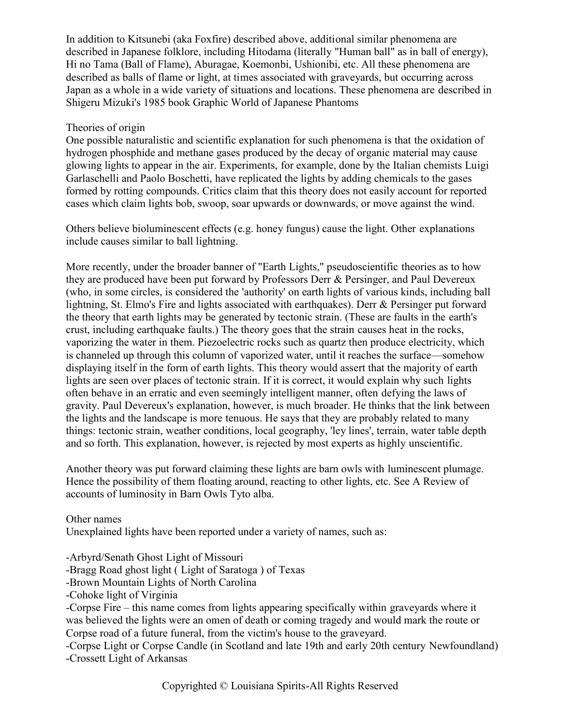In addition to Kitsunebi (aka Foxfire) described above, additional similar phenomena are described in Japanese folklore, including Hitodama (literally "Human ball" as in ball of energy), Hi no Tama (Ball of Flame), Aburagae, Koemonbi, Ushionibi, etc. All these phenomena are described as balls of flame or light, at times associated with graveyards, but occurring across Japan as a whole in a wide variety of situations and locations. These phenomena are described in Shigeru Mizuki's 1985 book Graphic World of Japanese Phantoms

#### Theories of origin

One possible naturalistic and scientific explanation for such phenomena is that the oxidation of hydrogen phosphide and methane gases produced by the decay of organic material may cause glowing lights to appear in the air. Experiments, for example, done by the Italian chemists Luigi Garlaschelli and Paolo Boschetti, have replicated the lights by adding chemicals to the gases formed by rotting compounds. Critics claim that this theory does not easily account for reported cases which claim lights bob, swoop, soar upwards or downwards, or move against the wind.

Others believe bioluminescent effects (e.g. honey fungus) cause the light. Other explanations include causes similar to ball lightning.

More recently, under the broader banner of "Earth Lights," pseudoscientific theories as to how they are produced have been put forward by Professors Derr & Persinger, and Paul Devereux (who, in some circles, is considered the 'authority' on earth lights of various kinds, including ball lightning, St. Elmo's Fire and lights associated with earthquakes). Derr & Persinger put forward the theory that earth lights may be generated by tectonic strain. (These are faults in the earth's crust, including earthquake faults.) The theory goes that the strain causes heat in the rocks, vaporizing the water in them. Piezoelectric rocks such as quartz then produce electricity, which is channeled up through this column of vaporized water, until it reaches the surface—somehow displaying itself in the form of earth lights. This theory would assert that the majority of earth lights are seen over places of tectonic strain. If it is correct, it would explain why such lights often behave in an erratic and even seemingly intelligent manner, often defying the laws of gravity. Paul Devereux's explanation, however, is much broader. He thinks that the link between the lights and the landscape is more tenuous. He says that they are probably related to many things: tectonic strain, weather conditions, local geography, 'ley lines', terrain, water table depth and so forth. This explanation, however, is rejected by most experts as highly unscientific.

Another theory was put forward claiming these lights are barn owls with luminescent plumage. Hence the possibility of them floating around, reacting to other lights, etc. See A Review of accounts of luminosity in Barn Owls Tyto alba.

Other names Unexplained lights have been reported under a variety of names, such as:

-Arbyrd/Senath Ghost Light of Missouri

-Bragg Road ghost light ( Light of Saratoga ) of Texas

-Brown Mountain Lights of North Carolina

-Cohoke light of Virginia

-Corpse Fire – this name comes from lights appearing specifically within graveyards where it was believed the lights were an omen of death or coming tragedy and would mark the route or Corpse road of a future funeral, from the victim's house to the graveyard.

-Corpse Light or Corpse Candle (in Scotland and late 19th and early 20th century Newfoundland) -Crossett Light of Arkansas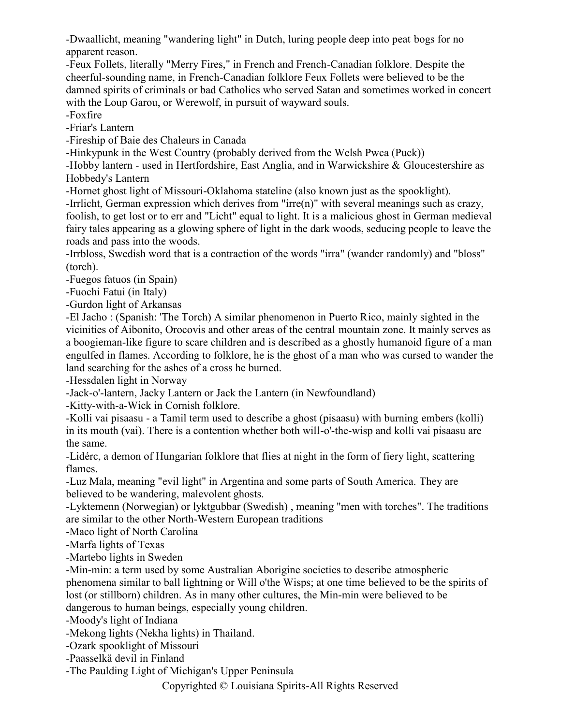-Dwaallicht, meaning "wandering light" in Dutch, luring people deep into peat bogs for no apparent reason.

-Feux Follets, literally "Merry Fires," in French and French-Canadian folklore. Despite the cheerful-sounding name, in French-Canadian folklore Feux Follets were believed to be the damned spirits of criminals or bad Catholics who served Satan and sometimes worked in concert with the Loup Garou, or Werewolf, in pursuit of wayward souls.

-Foxfire

-Friar's Lantern

-Fireship of Baie des Chaleurs in Canada

-Hinkypunk in the West Country (probably derived from the Welsh Pwca (Puck))

-Hobby lantern - used in Hertfordshire, East Anglia, and in Warwickshire & Gloucestershire as Hobbedy's Lantern

-Hornet ghost light of Missouri-Oklahoma stateline (also known just as the spooklight).

-Irrlicht, German expression which derives from "irre(n)" with several meanings such as crazy, foolish, to get lost or to err and "Licht" equal to light. It is a malicious ghost in German medieval fairy tales appearing as a glowing sphere of light in the dark woods, seducing people to leave the roads and pass into the woods.

-Irrbloss, Swedish word that is a contraction of the words "irra" (wander randomly) and "bloss" (torch).

-Fuegos fatuos (in Spain)

-Fuochi Fatui (in Italy)

-Gurdon light of Arkansas

-El Jacho : (Spanish: 'The Torch) A similar phenomenon in Puerto Rico, mainly sighted in the vicinities of Aibonito, Orocovis and other areas of the central mountain zone. It mainly serves as a boogieman-like figure to scare children and is described as a ghostly humanoid figure of a man engulfed in flames. According to folklore, he is the ghost of a man who was cursed to wander the land searching for the ashes of a cross he burned.

-Hessdalen light in Norway

-Jack-o'-lantern, Jacky Lantern or Jack the Lantern (in Newfoundland)

-Kitty-with-a-Wick in Cornish folklore.

-Kolli vai pisaasu - a Tamil term used to describe a ghost (pisaasu) with burning embers (kolli) in its mouth (vai). There is a contention whether both will-o'-the-wisp and kolli vai pisaasu are the same.

-Lidérc, a demon of Hungarian folklore that flies at night in the form of fiery light, scattering flames.

-Luz Mala, meaning "evil light" in Argentina and some parts of South America. They are believed to be wandering, malevolent ghosts.

-Lyktemenn (Norwegian) or lyktgubbar (Swedish) , meaning "men with torches". The traditions are similar to the other North-Western European traditions

-Maco light of North Carolina

-Marfa lights of Texas

-Martebo lights in Sweden

-Min-min: a term used by some Australian Aborigine societies to describe atmospheric phenomena similar to ball lightning or Will o'the Wisps; at one time believed to be the spirits of lost (or stillborn) children. As in many other cultures, the Min-min were believed to be dangerous to human beings, especially young children.

-Moody's light of Indiana

-Mekong lights (Nekha lights) in Thailand.

-Ozark spooklight of Missouri

-Paasselkä devil in Finland

-The Paulding Light of Michigan's Upper Peninsula

Copyrighted © Louisiana Spirits-All Rights Reserved